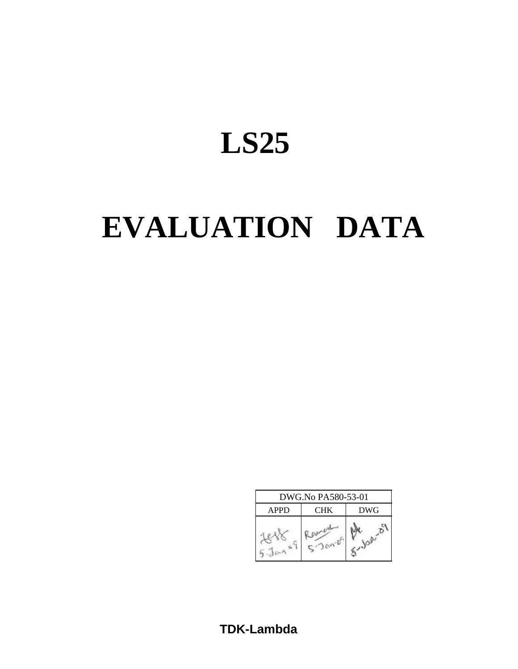# **LS25**

# **EVALUATION DATA**

| DWG.No PA580-53-01 |            |            |  |  |  |  |  |  |
|--------------------|------------|------------|--|--|--|--|--|--|
| <b>APPD</b>        | <b>CHK</b> | <b>DWG</b> |  |  |  |  |  |  |
|                    |            |            |  |  |  |  |  |  |

**TDK-Lambda**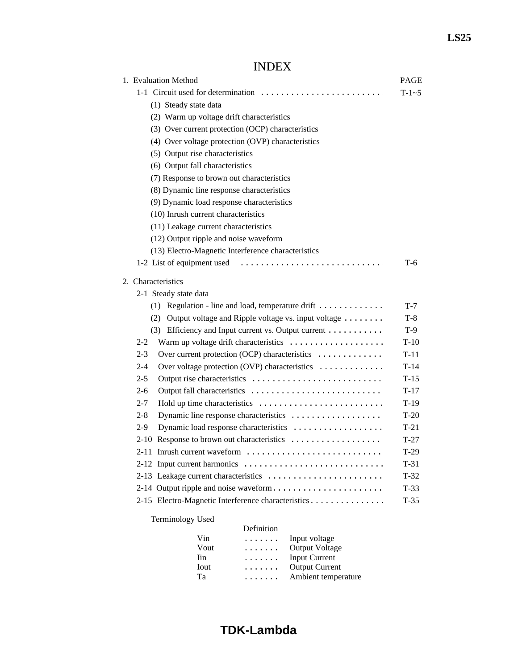## INDEX

| 1. Evaluation Method                                     | <b>PAGE</b> |
|----------------------------------------------------------|-------------|
| 1-1 Circuit used for determination                       | $T-1-5$     |
| (1) Steady state data                                    |             |
| (2) Warm up voltage drift characteristics                |             |
| (3) Over current protection (OCP) characteristics        |             |
| (4) Over voltage protection (OVP) characteristics        |             |
| (5) Output rise characteristics                          |             |
| (6) Output fall characteristics                          |             |
| (7) Response to brown out characteristics                |             |
| (8) Dynamic line response characteristics                |             |
| (9) Dynamic load response characteristics                |             |
| (10) Inrush current characteristics                      |             |
| (11) Leakage current characteristics                     |             |
| (12) Output ripple and noise waveform                    |             |
| (13) Electro-Magnetic Interference characteristics       |             |
| 1-2 List of equipment used                               | T-6         |
| 2. Characteristics                                       |             |
| 2-1 Steady state data                                    |             |
| $(1)$ Regulation - line and load, temperature drift      | $T-7$       |
| (2) Output voltage and Ripple voltage vs. input voltage  | $T-8$       |
| (3) Efficiency and Input current vs. Output current      | $T-9$       |
| Warm up voltage drift characteristics<br>$2 - 2$         | $T-10$      |
| $2 - 3$<br>Over current protection (OCP) characteristics | $T-11$      |
| Over voltage protection (OVP) characteristics<br>$2 - 4$ | $T-14$      |
| $2 - 5$                                                  | $T-15$      |
| 2-6                                                      | $T-17$      |
| $2 - 7$                                                  | $T-19$      |
| $2 - 8$<br>Dynamic line response characteristics         | $T-20$      |
| Dynamic load response characteristics<br>$2-9$           | $T-21$      |
| 2-10 Response to brown out characteristics               | $T-27$      |
| 2-11 Inrush current waveform                             | $T-29$      |
| 2-12 Input current harmonics                             | $T-31$      |
| 2-13 Leakage current characteristics                     | $T-32$      |
| 2-14 Output ripple and noise waveform                    | $T-33$      |
| 2-15 Electro-Magnetic Interference characteristics       | $T-35$      |
| <b>Terminology Used</b>                                  |             |
| Definition                                               |             |

|      | Definition |                       |
|------|------------|-----------------------|
| Vin  | .          | Input voltage         |
| Vout | .          | <b>Output Voltage</b> |
| Iin  | .          | <b>Input Current</b>  |
| Iout | .          | <b>Output Current</b> |
| Ta   |            | Ambient temperature   |
|      |            |                       |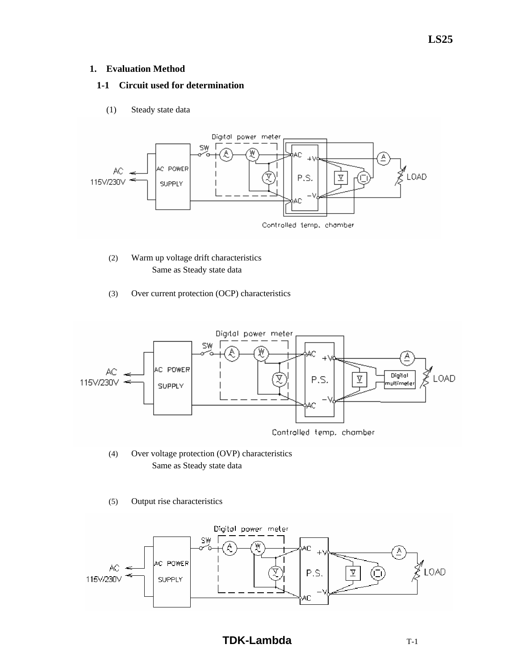#### **1. Evaluation Method**

## **1-1 Circuit used for determination**

(1) Steady state data



- (2) Warm up voltage drift characteristics Same as Steady state data
- (3) Over current protection (OCP) characteristics



- (4) Over voltage protection (OVP) characteristics Same as Steady state data
- (5) Output rise characteristics



## **LS25**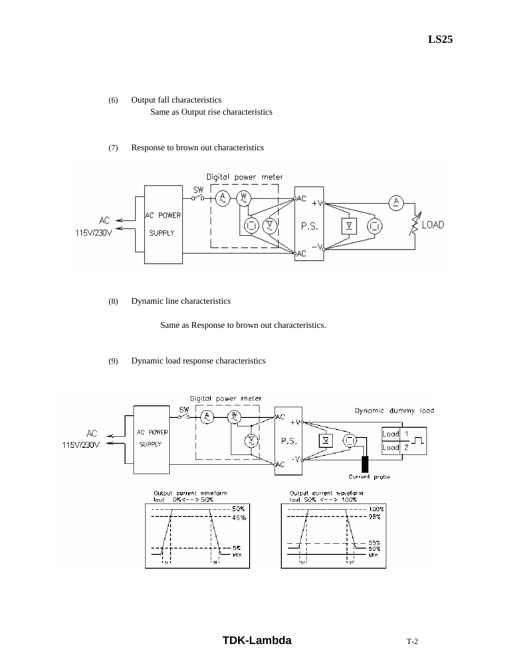- (6) Output fall characteristics Same as Output rise characteristics
- (7) Response to brown out characteristics



(8) Dynamic line characteristics

Same as Response to brown out characteristics.

## (9) Dynamic load response characteristics

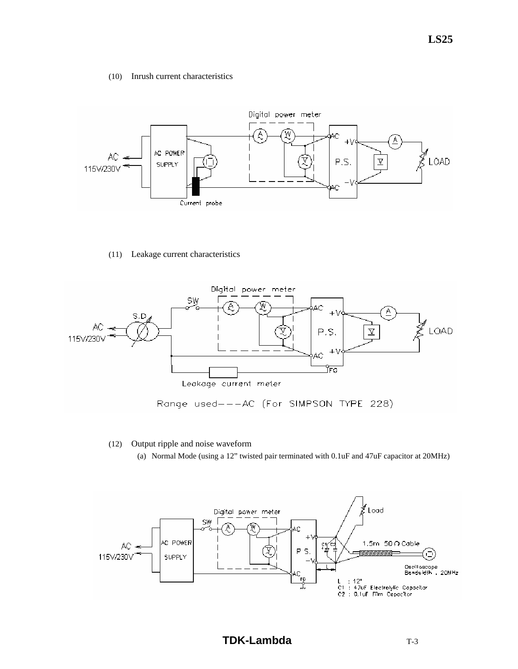#### (10) Inrush current characteristics



#### (11) Leakage current characteristics



#### (12) Output ripple and noise waveform

(a) Normal Mode (using a 12" twisted pair terminated with 0.1uF and 47uF capacitor at 20MHz)

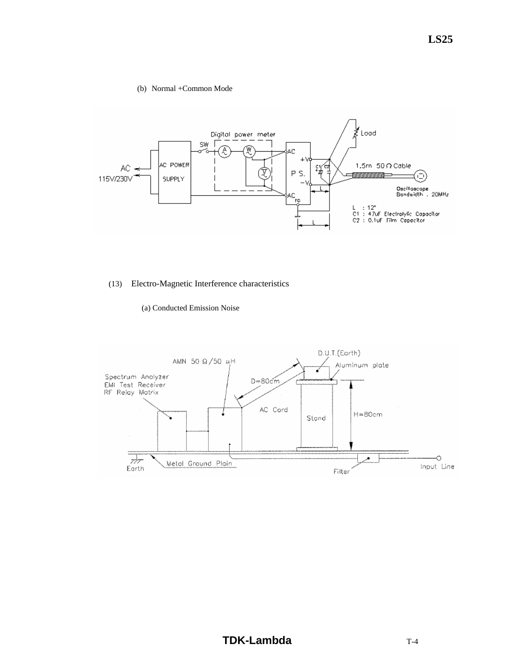#### (b) Normal +Common Mode



## (13) Electro-Magnetic Interference characteristics

#### (a) Conducted Emission Noise

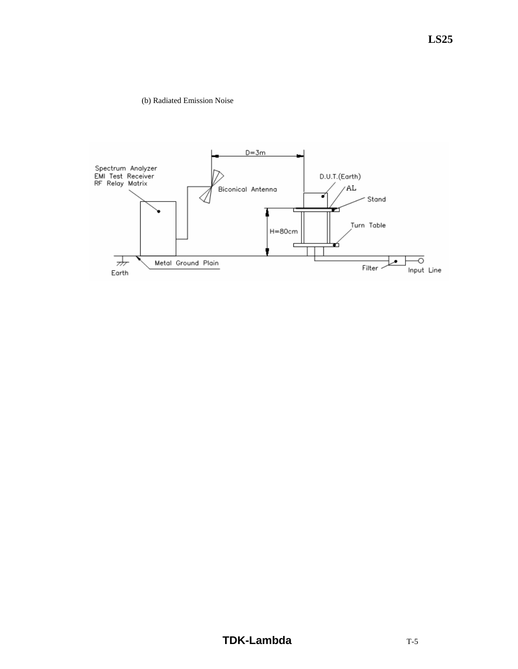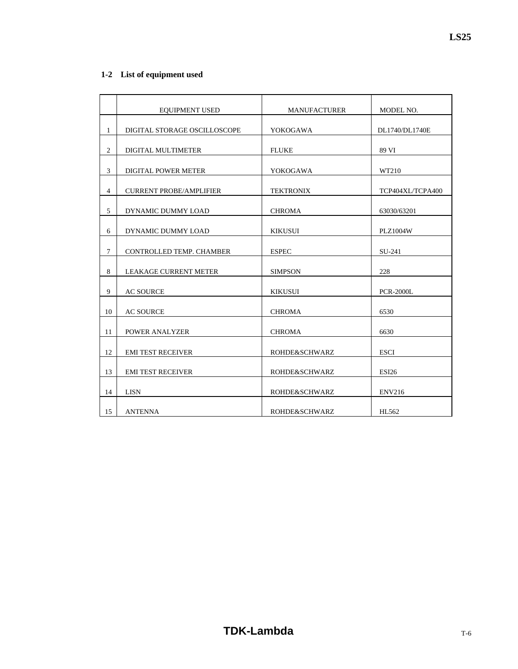|                | <b>EQUIPMENT USED</b>          | <b>MANUFACTURER</b>      | MODEL NO.        |
|----------------|--------------------------------|--------------------------|------------------|
| 1              | DIGITAL STORAGE OSCILLOSCOPE   | YOKOGAWA                 | DL1740/DL1740E   |
|                |                                |                          |                  |
| $\mathfrak{2}$ | DIGITAL MULTIMETER             | <b>FLUKE</b>             | 89 VI            |
| 3              | <b>DIGITAL POWER METER</b>     | YOKOGAWA                 | WT210            |
| $\overline{4}$ | <b>CURRENT PROBE/AMPLIFIER</b> | <b>TEKTRONIX</b>         | TCP404XL/TCPA400 |
|                |                                |                          |                  |
| 5              | DYNAMIC DUMMY LOAD             | <b>CHROMA</b>            | 63030/63201      |
| 6              | DYNAMIC DUMMY LOAD             | <b>KIKUSUI</b>           | <b>PLZ1004W</b>  |
|                |                                |                          |                  |
| $\tau$         | CONTROLLED TEMP. CHAMBER       | <b>ESPEC</b>             | SU-241           |
|                |                                |                          |                  |
| 8              | <b>LEAKAGE CURRENT METER</b>   | <b>SIMPSON</b>           | 228              |
| 9              | <b>AC SOURCE</b>               | <b>KIKUSUI</b>           | <b>PCR-2000L</b> |
|                |                                |                          |                  |
| 10             | <b>AC SOURCE</b>               | <b>CHROMA</b>            | 6530             |
| 11             | <b>POWER ANALYZER</b>          | <b>CHROMA</b>            | 6630             |
|                |                                |                          |                  |
| 12             | <b>EMI TEST RECEIVER</b>       | <b>ROHDE&amp;SCHWARZ</b> | <b>ESCI</b>      |
| 13             | <b>EMI TEST RECEIVER</b>       | ROHDE&SCHWARZ            | <b>ESI26</b>     |
| 14             | <b>LISN</b>                    | ROHDE&SCHWARZ            | <b>ENV216</b>    |
|                |                                |                          |                  |
| 15             | <b>ANTENNA</b>                 | ROHDE&SCHWARZ            | HL562            |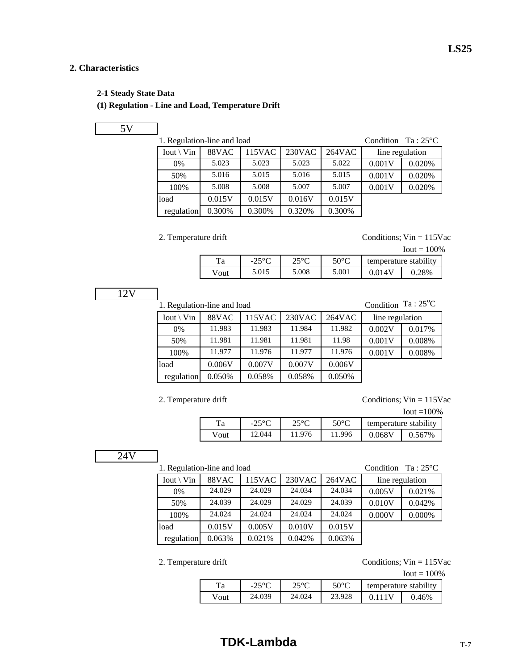## **2. Characteristics**

#### **2-1 Steady State Data**

## **(1) Regulation - Line and Load, Temperature Drift**

## 5V

load 0.015V 0.015V 0.016V 0.015V regulation 0.300% 0.300% 0.320% 0.300%

| 1. Regulation-line and load |       | Condition $Ta:25^{\circ}C$ |        |        |                 |        |
|-----------------------------|-------|----------------------------|--------|--------|-----------------|--------|
| $I$ out \ Vin               | 88VAC | 115VAC                     | 230VAC | 264VAC | line regulation |        |
| $0\%$                       | 5.023 | 5.023                      | 5.023  | 5.022  | 0.001V          | 0.020% |
| 50%                         | 5.016 | 5.015                      | 5.016  | 5.015  | 0.001V          | 0.020% |
| 100%                        | 5.008 | 5.008                      | 5.007  | 5.007  | 0.001V          | 0.020% |

2. Temperature drift Conditions;  $V$ in = 115Vac

| $I$ out = 100% |  |
|----------------|--|
|----------------|--|

**LS25**

| l a  | າ ເທ<br>$-L$ | 150 <sup>o</sup> | $50^{\circ}C$ | temperature stability |        |
|------|--------------|------------------|---------------|-----------------------|--------|
| Vout | 5.015        | 5.008            | 5.001         |                       | $28\%$ |

## 12V

1. Regulation-line and load

Condition Ta: 25°C  $\lceil$  Iout \ Vin  $\lceil$  88VAC  $\lceil$  115VAC  $\lceil$  230VAC  $\lceil$  264VAC  $\lceil$  line regulation

| 0%         | 11.983 | 11.983 | 11.984 | 11.982 | 0.002V | 0.017% |
|------------|--------|--------|--------|--------|--------|--------|
| 50%        | 11.981 | 11.981 | 11.981 | 11.98  | 0.001V | 0.008% |
| 100%       | 11.977 | 11.976 | 11.977 | 11.976 | 0.001V | 0.008% |
| load       | 0.006V | 0.007V | 0.007V | 0.006V |        |        |
| regulation | 0.050% | 0.058% | 0.058% | 0.050% |        |        |

2. Temperature drift Conditions; Vin = 115Vac

|      |                 |                                                 |        |        | $I$ out = 100% |  |
|------|-----------------|-------------------------------------------------|--------|--------|----------------|--|
| Ta   | $-25^{\circ}$ C | $50^{\circ}$ C<br>າ<∘∩<br>temperature stability |        |        |                |  |
| Vout | 12.044          | 11.976                                          | 11.996 | 0.068V | 0.567%         |  |

## 24V

| 1. Regulation-line and load |        | Condition | $Ta:25^{\circ}C$ |            |        |                 |
|-----------------------------|--------|-----------|------------------|------------|--------|-----------------|
| $Iout \setminus Vin$        | 88VAC  | 115VAC    | 230VAC           | $264\nVAC$ |        | line regulation |
| 0%                          | 24.029 | 24.029    | 24.034           | 24.034     | 0.005V | 0.021%          |
| 50%                         | 24.039 | 24.029    | 24.029           | 24.039     | 0.010V | 0.042%          |
| 100%                        | 24.024 | 24.024    | 24.024           | 24.024     | 0.000V | 0.000%          |
| load                        | 0.015V | 0.005V    | 0.010V           | 0.015V     |        |                 |
| regulation                  | 0.063% | 0.021%    | 0.042%           | 0.063%     |        |                 |

2. Temperature drift Conditions; Vin = 115Vac

Iout  $= 100\%$ 

| Ta   | າເທດ<br>$-25$ | 250C<br>◡ | $50^{\circ}$ C | temperature stability |          |
|------|---------------|-----------|----------------|-----------------------|----------|
| Vout | 24.039        | 24.024    | 23.928         |                       | $0.46\%$ |

## **TDK-Lambda** TDK T-7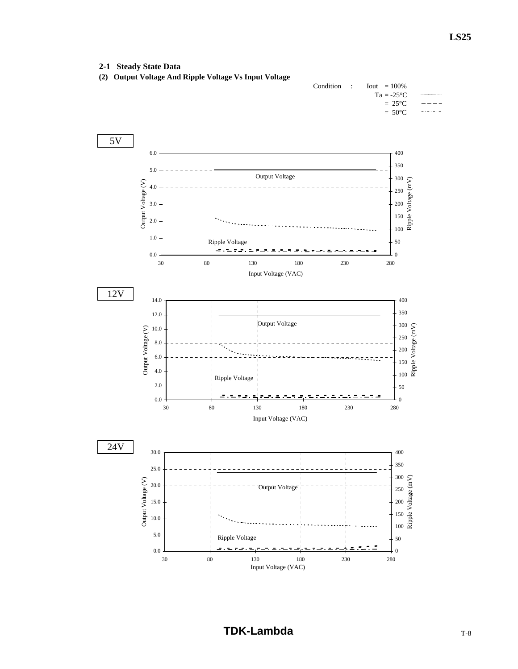#### **2-1 Steady State Data**



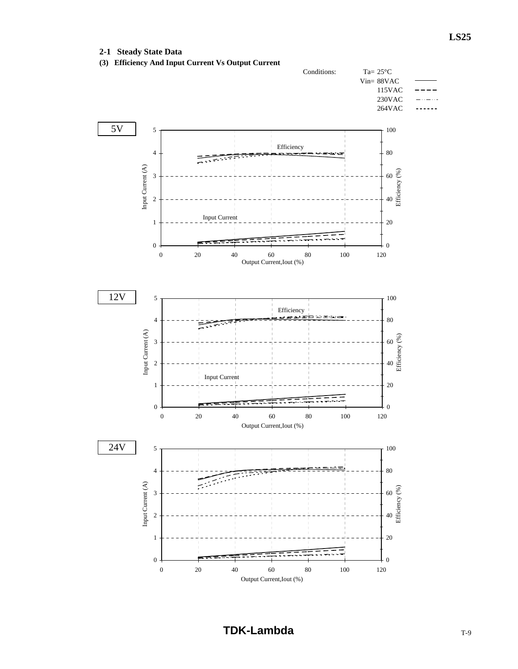## **2-1 Steady State Data**

**(3) Efficiency And Input Current Vs Output Current**

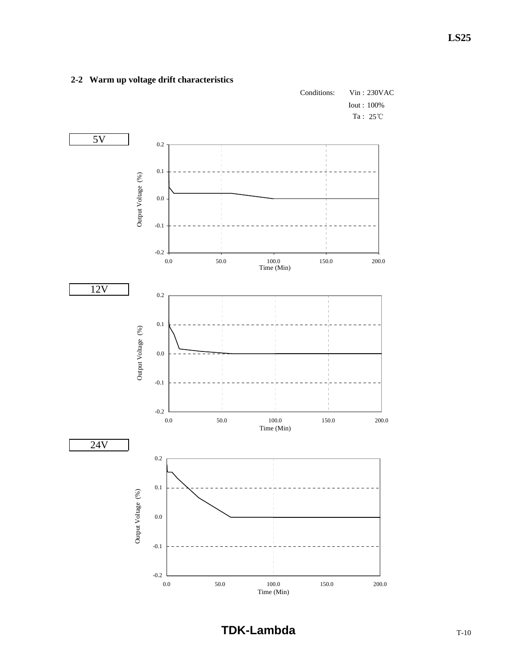

## **2-2 Warm up voltage drift characteristics**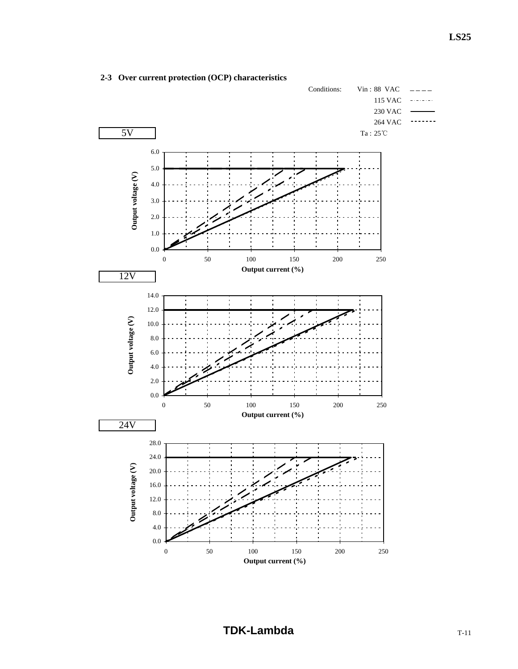

## **2-3 Over current protection (OCP) characteristics**

**TDK-Lambda** T-11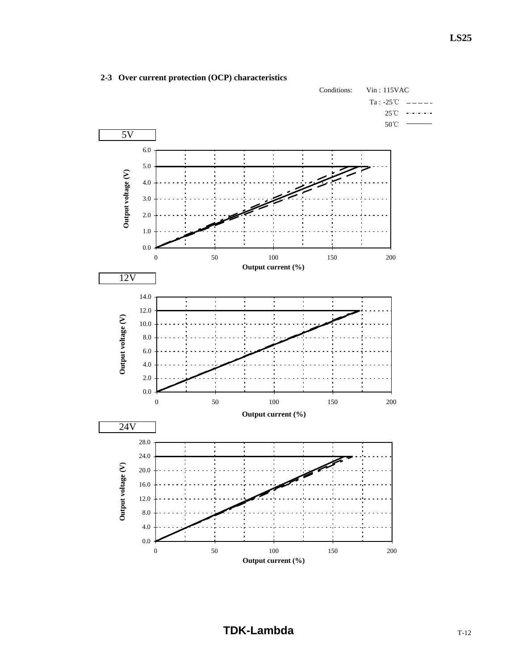

## **2-3 Over current protection (OCP) characteristics**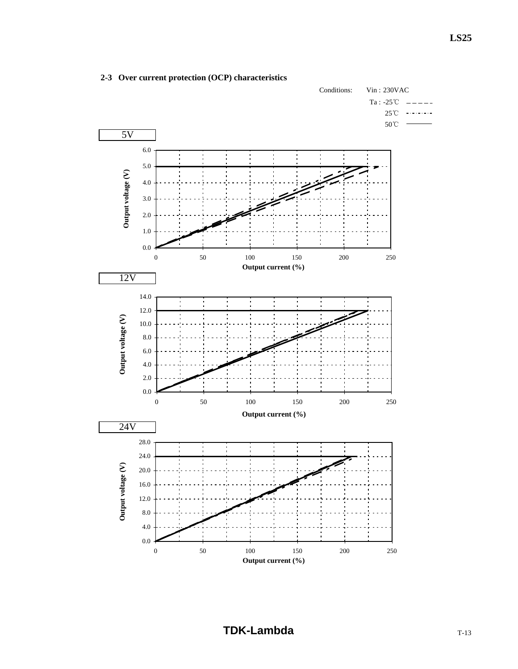

## **2-3 Over current protection (OCP) characteristics**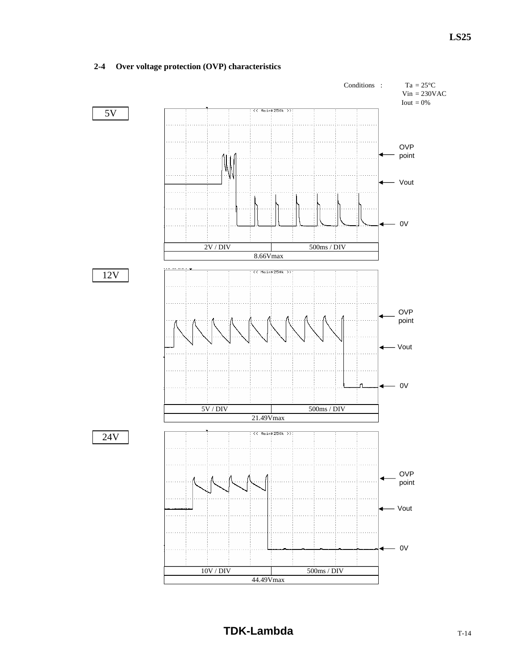## **2-4 Over voltage protection (OVP) characteristics**

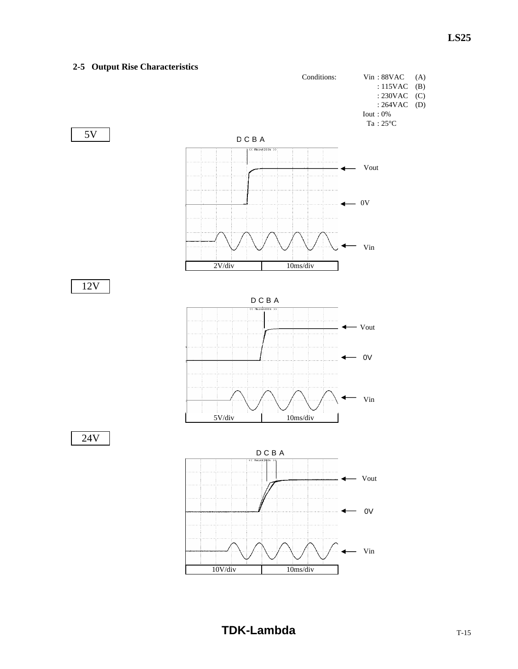## **2-5 Output Rise Characteristics** Conditions: Vin : 88VAC (A) : 115VAC (B) : 230VAC (C) : 264VAC (D) Iout : 0%  $\rm Ta$  :  $25^{\circ}C$ 5V D C B A << Main:200k >> Vout  $-0V$ 4  $-$  Vin 2V/div 10ms/div 12V D C B A Vout ◢  $- 0V$ ◀  $-$  Vin 5V/div 10ms/div 24V D C B A Main Vout 0V  $\overline{\phantom{a}}$  $-$  Vin 10V/div 10ms/div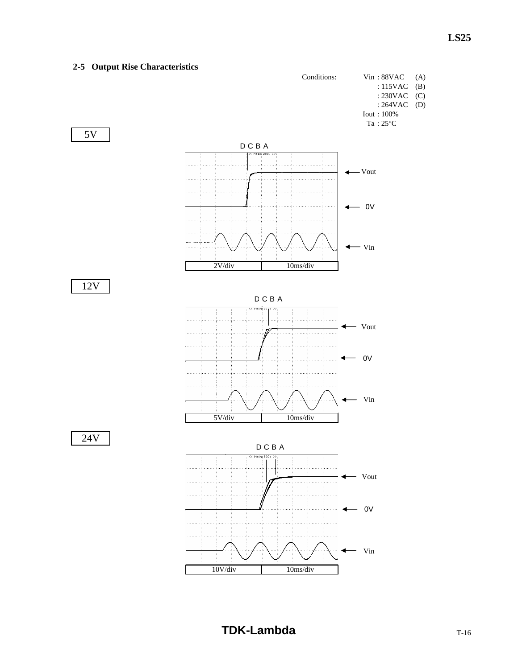## **2-5 Output Rise Characteristics**

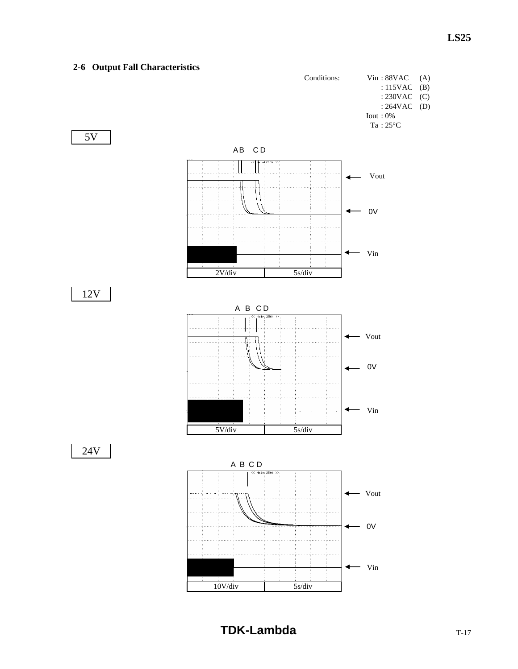# **2-6 Output Fall Characteristics** Conditions: Vin : 88VAC (A) : 115VAC (B) : 230VAC (C) : 264VAC (D) Iout : 0%  $Ta:25^{\circ}\mathrm{C}$ 5V AB C D  $\overline{\phantom{a}}$  Main 250k  $\mathbb{I}$ - Vout ◀  $- 0V$ ✦  $\leftarrow$   $\vee$ in 2V/div 5s/div 12V  $A$  B  $CD$ <br> $\overline{AB}$   $CD$ Vout ◀  $- 0V$  $-$  Vin ◀ 5V/div 5s/div 24V  $A \text{ } B \text{ } C \text{ } D$  $-$  Vout  $- 0V$  $-$  Vin 10V/div 5s/div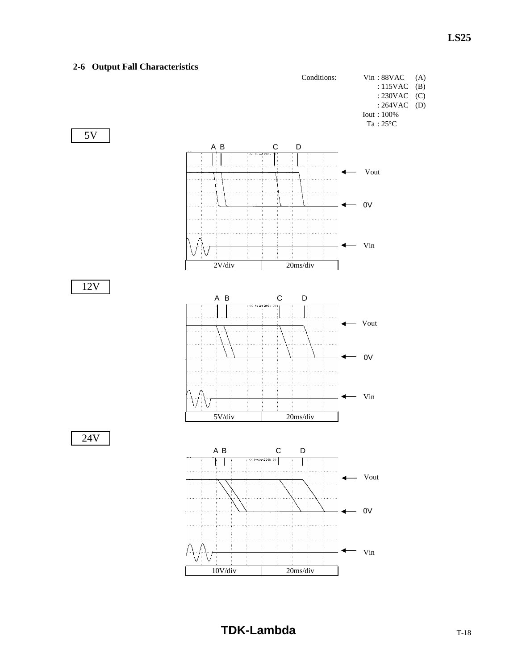## **2-6 Output Fall Characteristics**

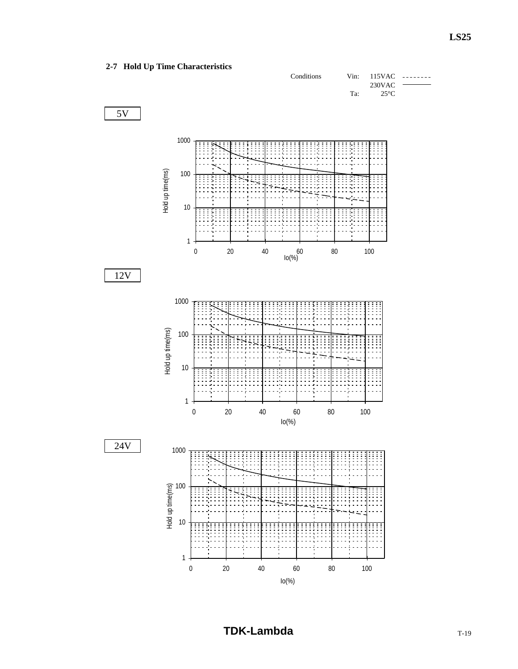## **2-7 Hold Up Time Characteristics**

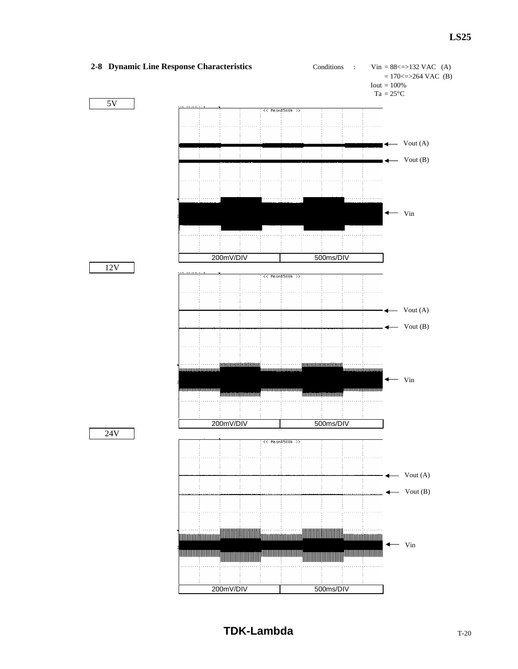## **LS25**

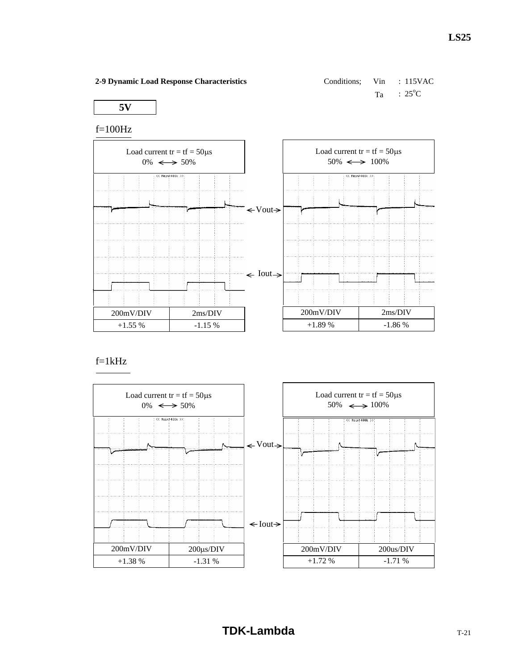Conditions; 
$$
V\text{in}
$$
 :  $115\text{VAC}$ 

\n $Ta$  :  $25^{\circ}\text{C}$ 

**5V**

## f=100Hz



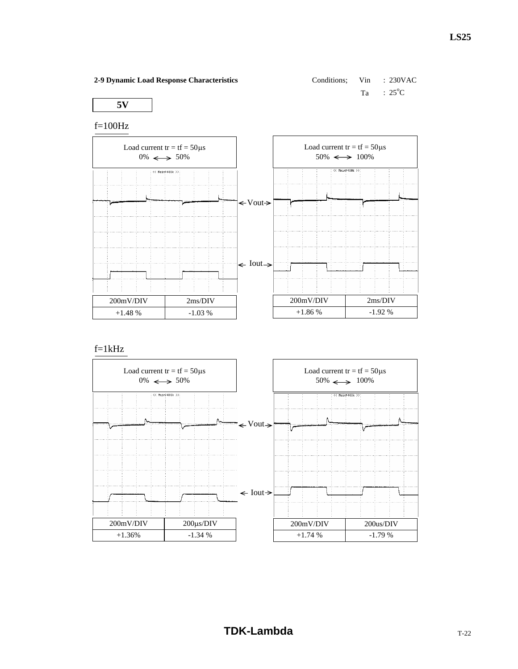| 2-9 Dynamic Load Response Characteristics | Conditions: Vin : 230VAC |                          |
|-------------------------------------------|--------------------------|--------------------------|
|                                           |                          | $Ta$ : 25 <sup>o</sup> C |
| 5V                                        |                          |                          |

**5V**

f=100Hz



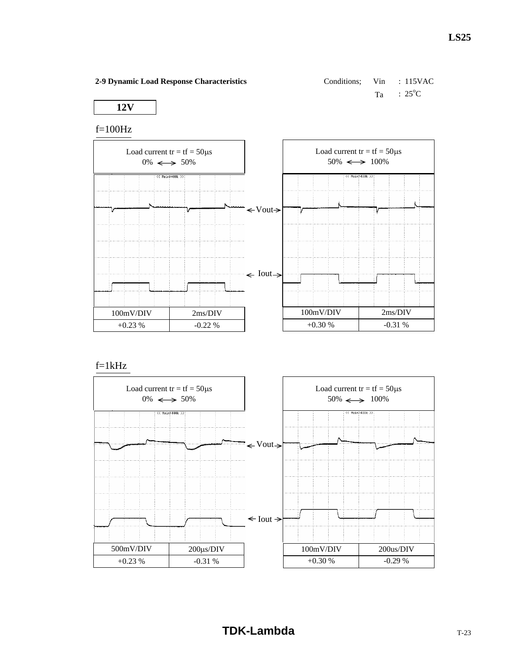Conditions; 
$$
V\text{in}
$$
 :  $115\text{VAC}$ 

\n $Ta$  :  $25^{\circ}\text{C}$ 

**12V**

## f=100Hz



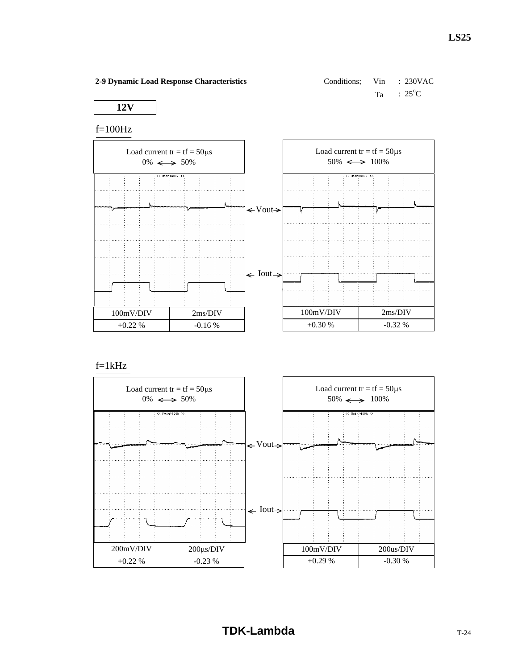Conditions;

\n
$$
\text{Vin} \quad : \quad 230 \text{VAC}
$$
\n
$$
\text{Ta} \quad : \quad 25^{\circ} \text{C}
$$

**12V**

## f=100Hz



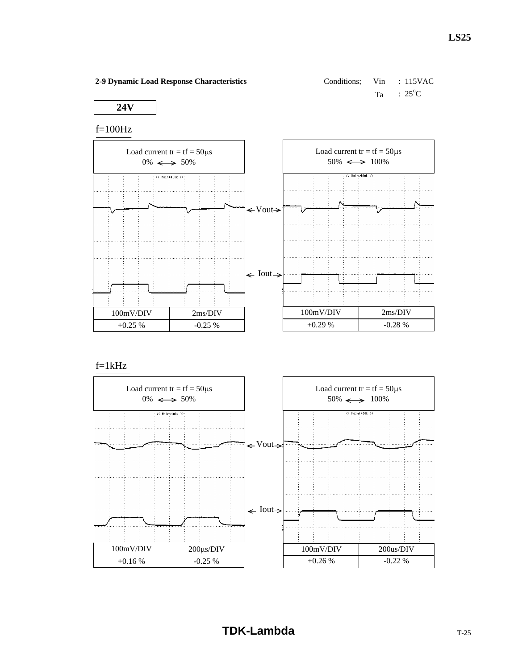Conditions;

\n
$$
\text{Vin} \quad : 115 \text{VAC}
$$
\n
$$
\text{Ta} \quad : 25^{\circ} \text{C}
$$

## **24V**

## f=100Hz



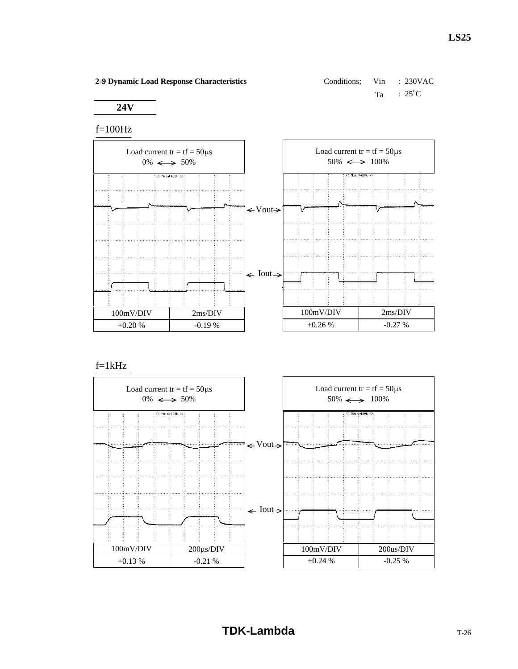Conditions;

\nViin

\n
$$
\therefore
$$
 230VAC

\nTa

\n $\therefore$  25°C

**24V**

## f=100Hz



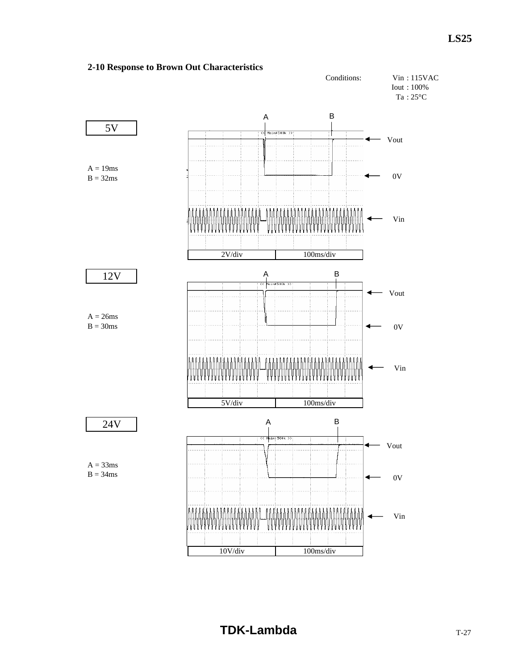

## **2-10 Response to Brown Out Characteristics**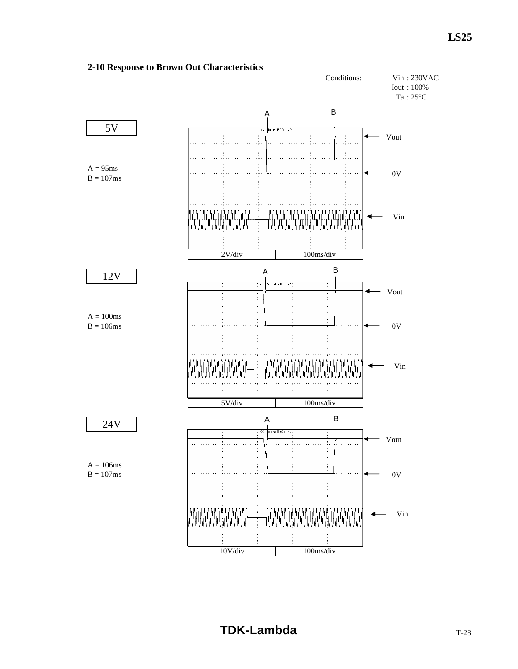

## **2-10 Response to Brown Out Characteristics**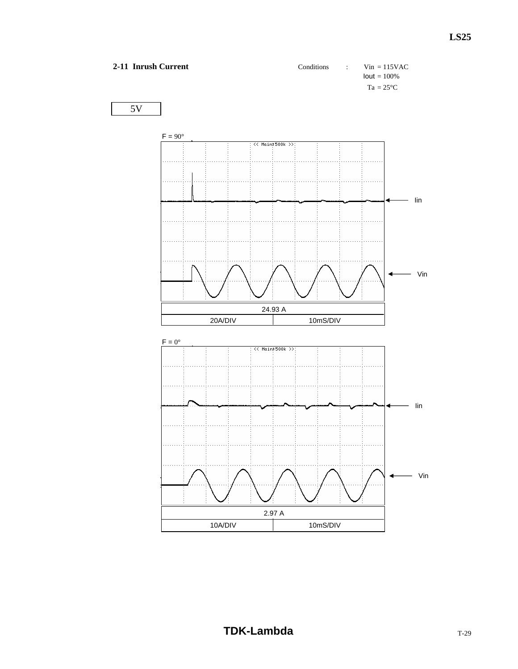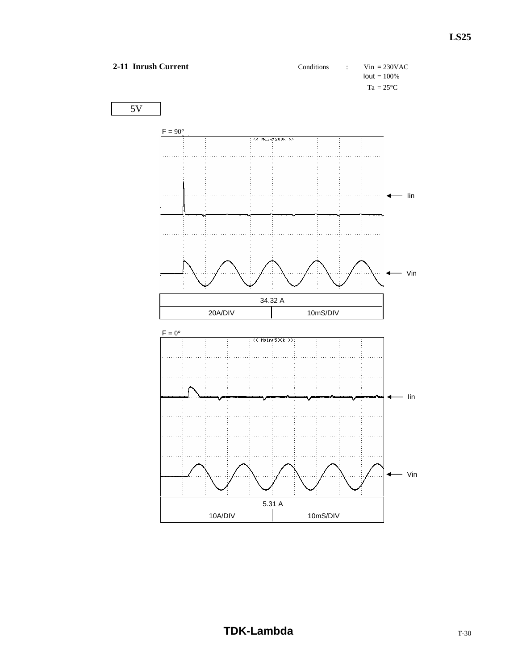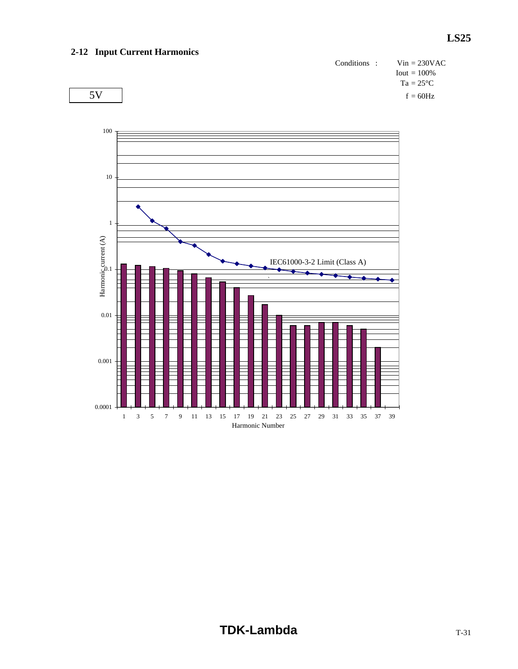## **2-12 Input Current Harmonics**



 $5V$  f = 60Hz

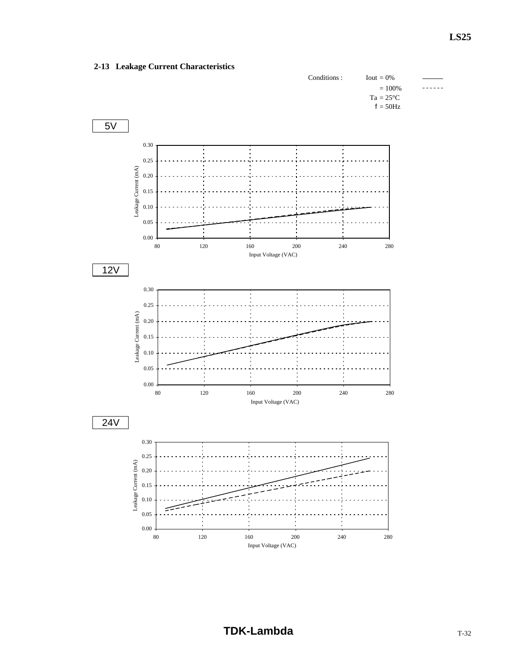## **2-13 Leakage Current Characteristics**

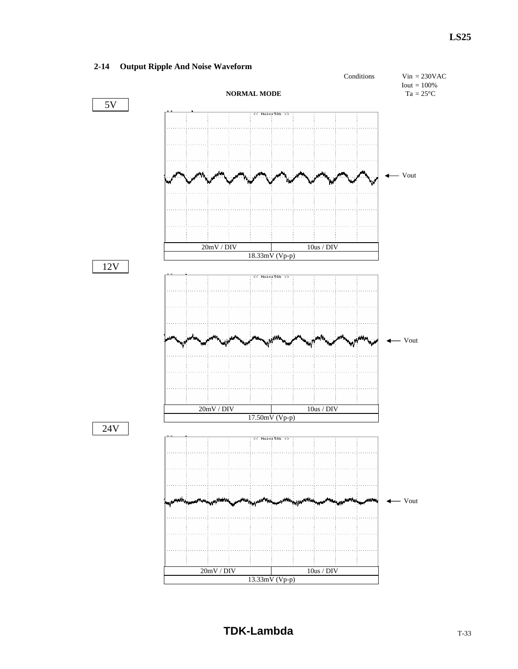## **2-14 Output Ripple And Noise Waveform**

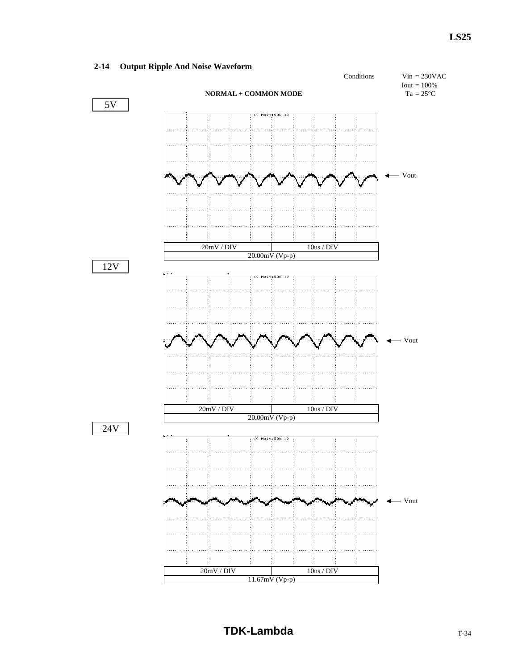## **2-14 Output Ripple And Noise Waveform**

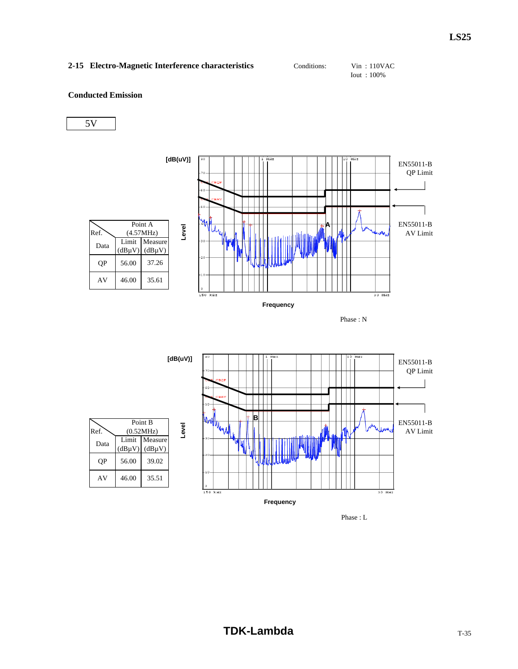## 2-15 Electro-Magnetic Interference characteristics Conditions: Vin : 110VAC

Iout : 100%

#### **Conducted Emission**







Phase : L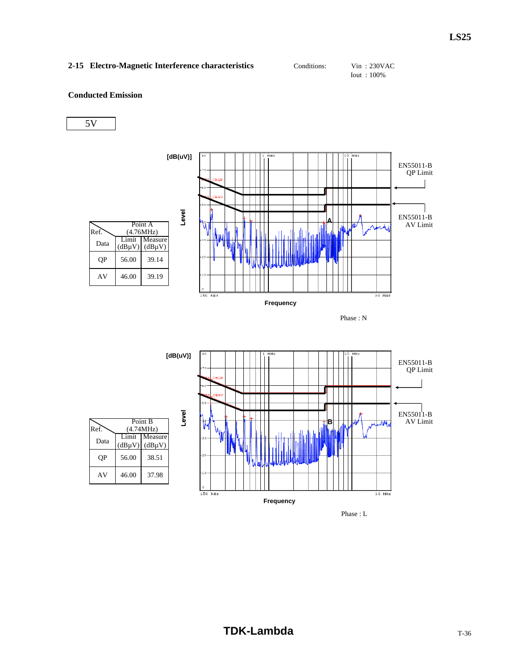## 2-15 Electro-Magnetic Interference characteristics Conditions: Vin : 230VAC

Iout : 100%

## **Conducted Emission**

5V



Phase : L

 $30$  MHz

**Frequency**

150 kHz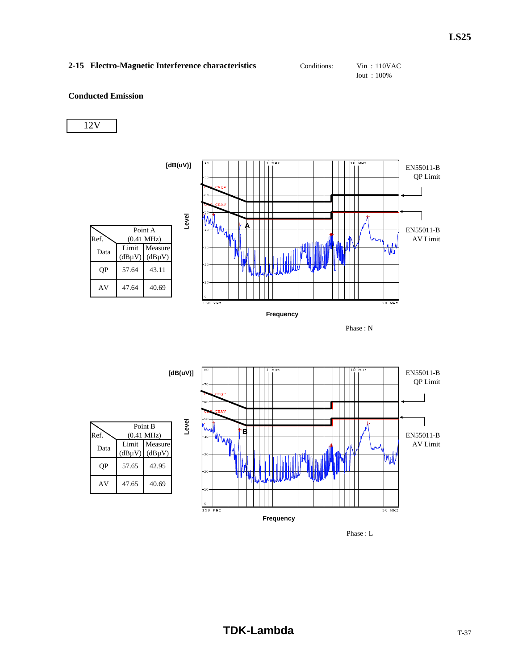## **2-15 Electro-Magnetic Interference characteristics** Conditions: Vin : 110VAC

Iout : 100%

#### **Conducted Emission**







Phase : L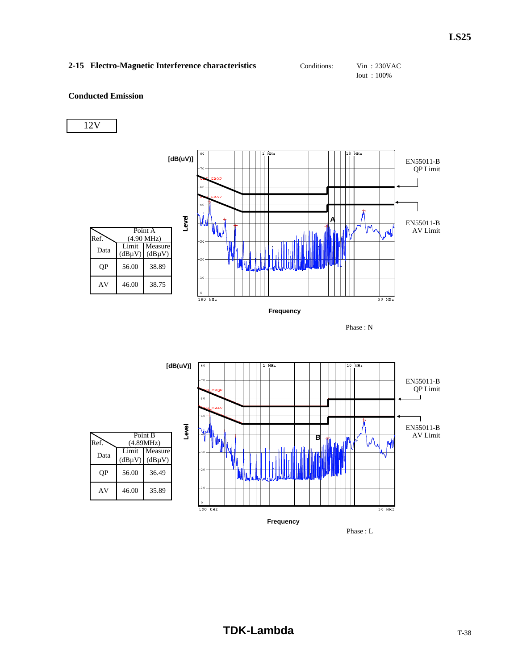## **2-15 Electro-Magnetic Interference characteristics** Conditions: Vin : 230VAC

Iout : 100%

#### **Conducted Emission**

12V







Phase : L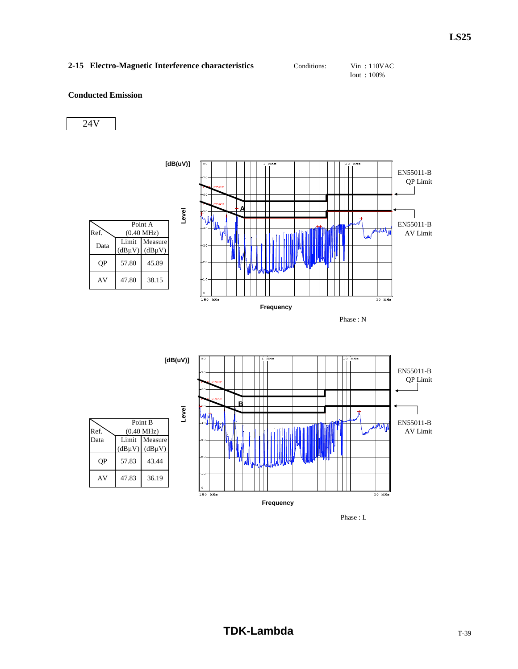## 2-15 Electro-Magnetic Interference characteristics Conditions: Vin : 110VAC

Iout : 100%

## **Conducted Emission**







Phase : L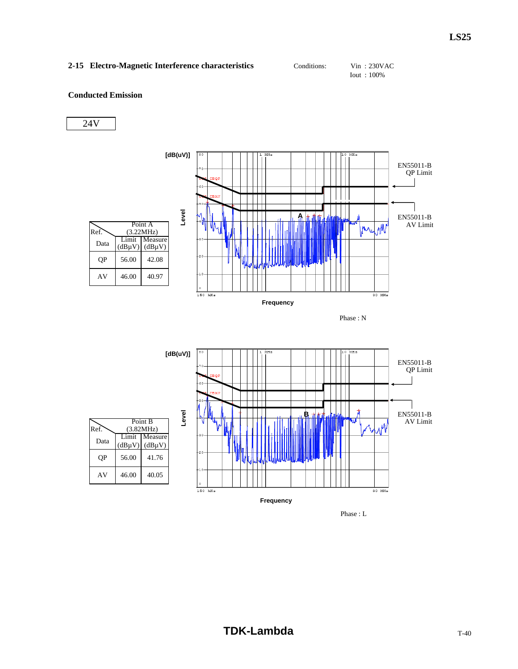## 2-15 Electro-Magnetic Interference characteristics Conditions: Vin : 230VAC

Iout : 100%

## **Conducted Emission**





Phase : L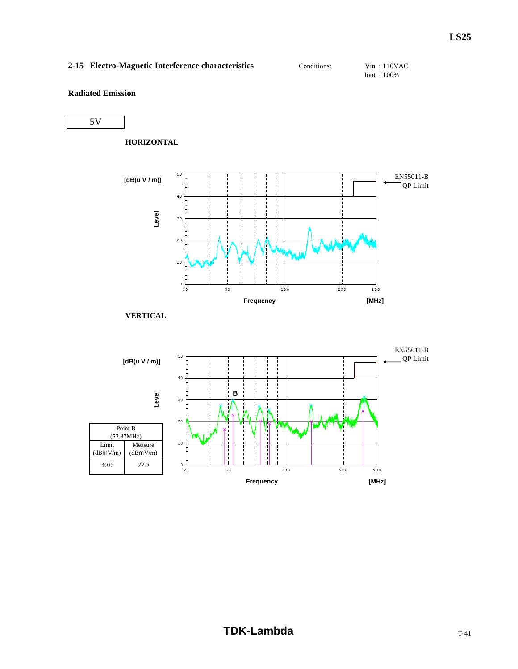## 2-15 Electro-Magnetic Interference characteristics Conditions: Vin : 110VAC

Iout : 100%

## **Radiated Emission**





**VERTICAL**

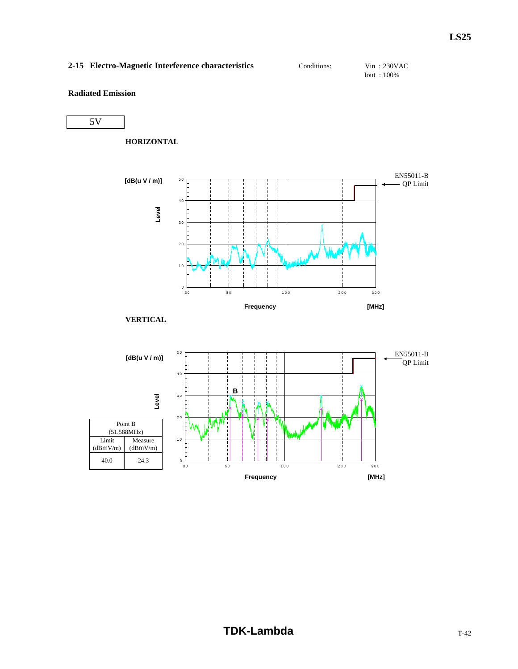## **2-15 Electro-Magnetic Interference characteristics** Conditions: Vin : 230VAC

Iout : 100%

## **Radiated Emission**



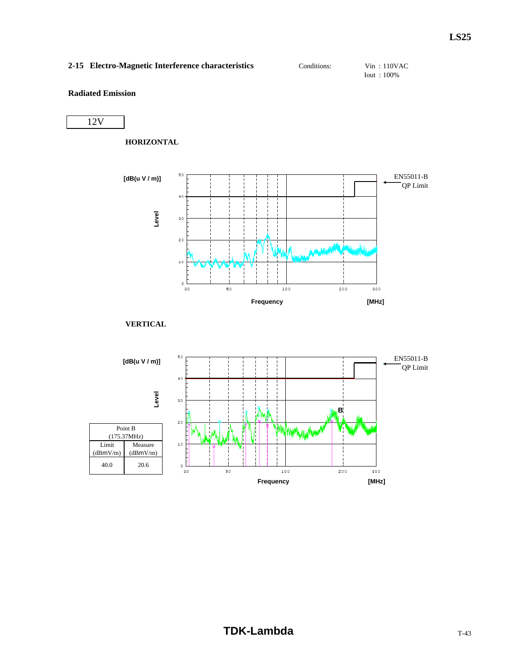## 2-15 Electro-Magnetic Interference characteristics Conditions: Vin : 110VAC

Iout : 100%

## **Radiated Emission**

12V

**HORIZONTAL**



**VERTICAL**

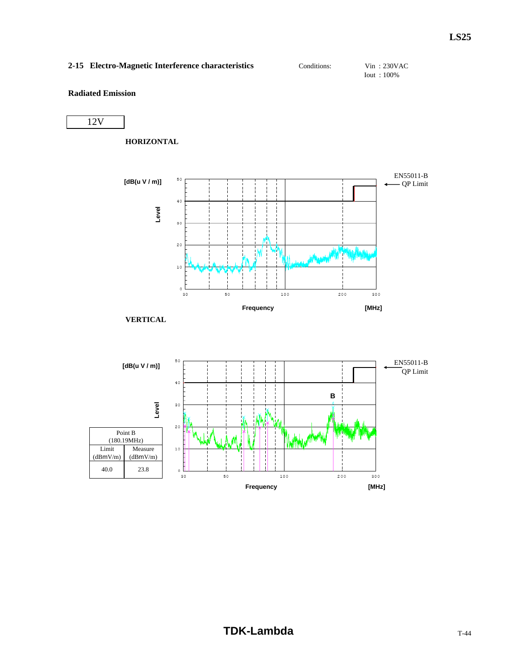## **2-15 Electro-Magnetic Interference characteristics** Conditions: Vin : 230VAC

Iout : 100%

## **Radiated Emission**







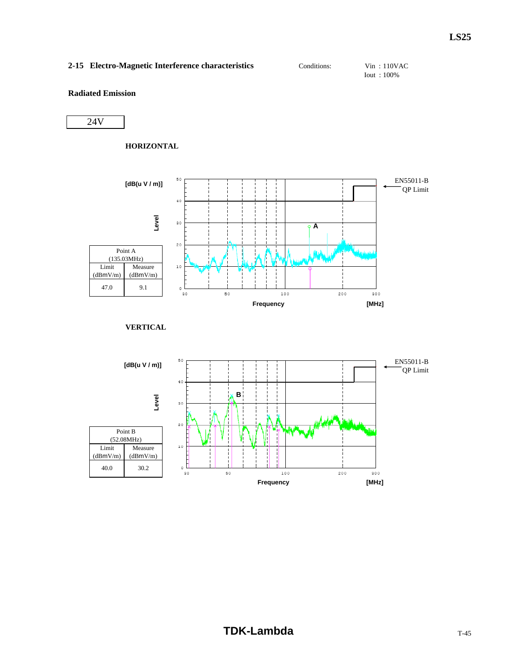## 2-15 Electro-Magnetic Interference characteristics Conditions: Vin : 110VAC

Iout : 100%

## **Radiated Emission**

24V

#### **HORIZONTAL**